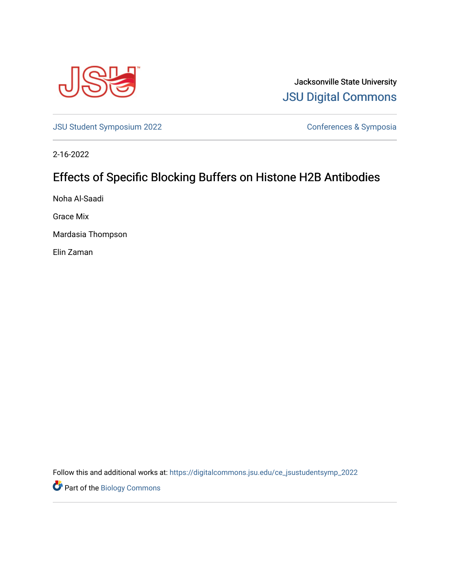

Jacksonville State University [JSU Digital Commons](https://digitalcommons.jsu.edu/) 

[JSU Student Symposium 2022](https://digitalcommons.jsu.edu/ce_jsustudentsymp_2022) **Conferences & Symposia** 

2-16-2022

## Effects of Specific Blocking Buffers on Histone H2B Antibodies

Noha Al-Saadi

Grace Mix

Mardasia Thompson

Elin Zaman

Follow this and additional works at: [https://digitalcommons.jsu.edu/ce\\_jsustudentsymp\\_2022](https://digitalcommons.jsu.edu/ce_jsustudentsymp_2022?utm_source=digitalcommons.jsu.edu%2Fce_jsustudentsymp_2022%2F49&utm_medium=PDF&utm_campaign=PDFCoverPages) 

**Part of the Biology Commons**